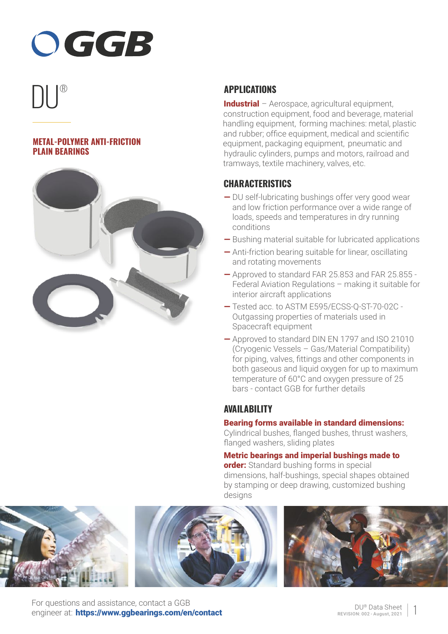# OGGB

# ® DU

### **METAL-POLYMER ANTI-FRICTION PLAIN BEARINGS**



# **APPLICATIONS**

Industrial – Aerospace, agricultural equipment, construction equipment, food and beverage, material handling equipment, forming machines: metal, plastic and rubber; office equipment, medical and scientific equipment, packaging equipment, pneumatic and hydraulic cylinders, pumps and motors, railroad and tramways, textile machinery, valves, etc.

## **CHARACTERISTICS**

- DU self-lubricating bushings offer very good wear and low friction performance over a wide range of loads, speeds and temperatures in dry running conditions
- Bushing material suitable for lubricated applications
- Anti-friction bearing suitable for linear, oscillating and rotating movements
- Approved to standard FAR 25.853 and FAR 25.855 Federal Aviation Regulations – making it suitable for interior aircraft applications
- Tested acc. to ASTM E595/ECSS-Q-ST-70-02C Outgassing properties of materials used in Spacecraft equipment
- Approved to standard DIN EN 1797 and ISO 21010 (Cryogenic Vessels – Gas/Material Compatibility) for piping, valves, fittings and other components in both gaseous and liquid oxygen for up to maximum temperature of 60°C and oxygen pressure of 25 bars - contact GGB for further details

# **AVAILABILITY**

#### Bearing forms available in standard dimensions:

Cylindrical bushes, flanged bushes, thrust washers, flanged washers, sliding plates

Metric bearings and imperial bushings made to order: Standard bushing forms in special dimensions, half-bushings, special shapes obtained by stamping or deep drawing, customized bushing designs